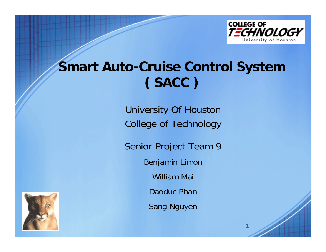

**1**

# **Smart Auto-Cruise Control System ( SACC )**

University Of Houston College of Technology

Senior Project Team 9 Benjamin Limon William Mai Daoduc Phan Sang Nguyen

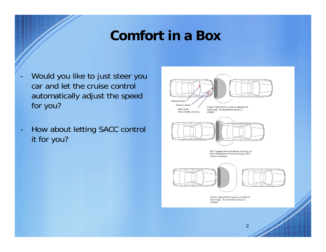## **Comfort in a Box**

- - Would you like to just steer you car and let the cruise control automatically adjust the speed for you?
- $\blacksquare$  How about letting SACC control it for you?

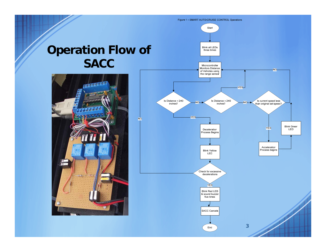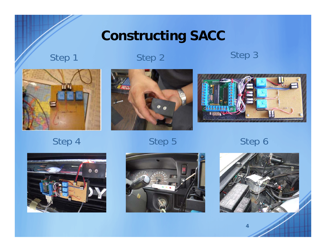# **Constructing SACC**

## Step 1 Step 2 Step 3



Step 4 Step 5 Step 6





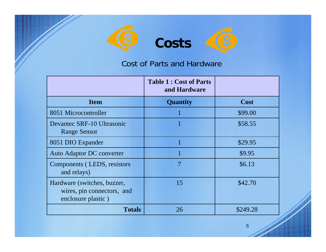

# **Costs**

#### Cost of Parts and Hardware

|                                                                                 | <b>Table 1: Cost of Parts</b><br>and Hardware |          |
|---------------------------------------------------------------------------------|-----------------------------------------------|----------|
| <b>Item</b>                                                                     | <b>Quantity</b>                               | Cost     |
| 8051 Microcontroller                                                            |                                               | \$99.00  |
| Devantec SRF-10 Ultrasonic<br><b>Range Sensor</b>                               |                                               | \$58.55  |
| 8051 DIO Expander                                                               |                                               | \$29.95  |
| Auto Adaptor DC converter                                                       |                                               | \$9.95   |
| Components (LEDS, resistors<br>and relays)                                      | 7                                             | \$6.13   |
| Hardware (switches, buzzer,<br>wires, pin connectors, and<br>enclosure plastic) | 15                                            | \$42.70  |
| <b>Totals</b>                                                                   | 26                                            | \$249.28 |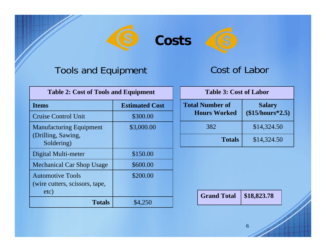

**Costs**



#### Tools and Equipment

Cost of Labor

| <b>Table 2: Cost of Tools and Equipment</b>                        |                       |  |
|--------------------------------------------------------------------|-----------------------|--|
| <b>Items</b>                                                       | <b>Estimated Cost</b> |  |
| <b>Cruise Control Unit</b>                                         | \$300.00              |  |
| <b>Manufacturing Equipment</b><br>(Drilling, Sawing,<br>Soldering) | \$3,000.00            |  |
| Digital Multi-meter                                                | \$150.00              |  |
| <b>Mechanical Car Shop Usage</b>                                   | \$600.00              |  |
| <b>Automotive Tools</b><br>(wire cutters, scissors, tape,<br>etc)  | \$200.00              |  |
| <b>Totals</b>                                                      | \$4,250               |  |

| <b>Table 3: Cost of Labor</b>                 |                                    |  |
|-----------------------------------------------|------------------------------------|--|
| <b>Total Number of</b><br><b>Hours Worked</b> | <b>Salary</b><br>$($15/hours*2.5)$ |  |
| 382                                           | \$14,324.50                        |  |
| <b>Totals</b>                                 | \$14,324.50                        |  |

**Grand Total \$18,823.78**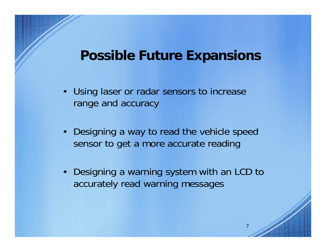### **Possible Future Expansions**

- Using laser or radar sensors to increase range and accuracy
- Designing a way to read the vehicle speed sensor to get a more accurate reading
- Designing a warning system with an LCD to accurately read warning messages